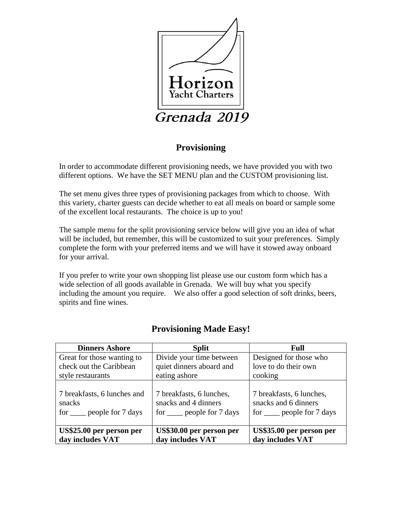

# **Provisioning**

In order to accommodate different provisioning needs, we have provided you with two different options. We have the SET MENU plan and the CUSTOM provisioning list.

The set menu gives three types of provisioning packages from which to choose. With this variety, charter guests can decide whether to eat all meals on board or sample some of the excellent local restaurants. The choice is up to you!

The sample menu for the split provisioning service below will give you an idea of what will be included, but remember, this will be customized to suit your preferences. Simply complete the form with your preferred items and we will have it stowed away onboard for your arrival.

If you prefer to write your own shopping list please use our custom form which has a wide selection of all goods available in Grenada. We will buy what you specify including the amount you require. We also offer a good selection of soft drinks, beers, spirits and fine wines.

| <b>Dinners Ashore</b>                                                       | <b>Split</b>                                                                       | Full                                                                             |
|-----------------------------------------------------------------------------|------------------------------------------------------------------------------------|----------------------------------------------------------------------------------|
| Great for those wanting to                                                  | Divide your time between                                                           | Designed for those who                                                           |
| check out the Caribbean                                                     | quiet dinners aboard and                                                           | love to do their own                                                             |
| style restaurants                                                           | eating ashore                                                                      | cooking                                                                          |
| 7 breakfasts, 6 lunches and<br>snacks<br>for <u>secre</u> people for 7 days | 7 breakfasts, 6 lunches,<br>snacks and 4 dinners<br>for <u>e</u> people for 7 days | 7 breakfasts, 6 lunches,<br>snacks and 6 dinners<br>for $\_\_$ people for 7 days |
| US\$25.00 per person per<br>day includes VAT                                | US\$30.00 per person per<br>day includes VAT                                       | US\$35.00 per person per<br>day includes VAT                                     |

# **Provisioning Made Easy!**